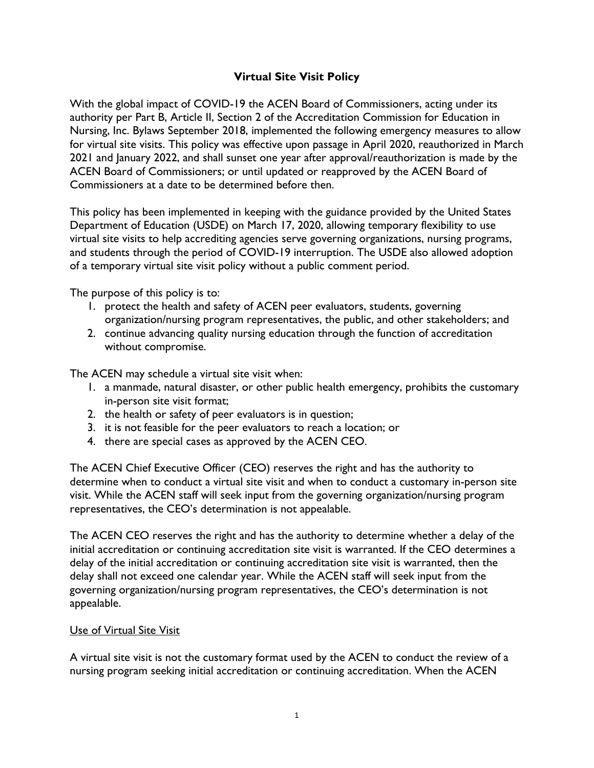# **Virtual Site Visit Policy**

With the global impact of COVID-19 the ACEN Board of Commissioners, acting under its authority per Part B, Article II, Section 2 of the Accreditation Commission for Education in Nursing, Inc. Bylaws September 2018, implemented the following emergency measures to allow for virtual site visits. This policy was effective upon passage in April 2020, reauthorized in March 2021 and January 2022, and shall sunset one year after approval/reauthorization is made by the ACEN Board of Commissioners; or until updated or reapproved by the ACEN Board of Commissioners at a date to be determined before then.

This policy has been implemented in keeping with the guidance provided by the United States Department of Education (USDE) on March 17, 2020, allowing temporary flexibility to use virtual site visits to help accrediting agencies serve governing organizations, nursing programs, and students through the period of COVID-19 interruption. The USDE also allowed adoption of a temporary virtual site visit policy without a public comment period.

The purpose of this policy is to:

- 1. protect the health and safety of ACEN peer evaluators, students, governing organization/nursing program representatives, the public, and other stakeholders; and
- 2. continue advancing quality nursing education through the function of accreditation without compromise.

The ACEN may schedule a virtual site visit when:

- 1. a manmade, natural disaster, or other public health emergency, prohibits the customary in-person site visit format;
- 2. the health or safety of peer evaluators is in question;
- 3. it is not feasible for the peer evaluators to reach a location; or
- 4. there are special cases as approved by the ACEN CEO.

The ACEN Chief Executive Officer (CEO) reserves the right and has the authority to determine when to conduct a virtual site visit and when to conduct a customary in-person site visit. While the ACEN staff will seek input from the governing organization/nursing program representatives, the CEO's determination is not appealable.

The ACEN CEO reserves the right and has the authority to determine whether a delay of the initial accreditation or continuing accreditation site visit is warranted. If the CEO determines a delay of the initial accreditation or continuing accreditation site visit is warranted, then the delay shall not exceed one calendar year. While the ACEN staff will seek input from the governing organization/nursing program representatives, the CEO's determination is not appealable.

#### Use of Virtual Site Visit

A virtual site visit is not the customary format used by the ACEN to conduct the review of a nursing program seeking initial accreditation or continuing accreditation. When the ACEN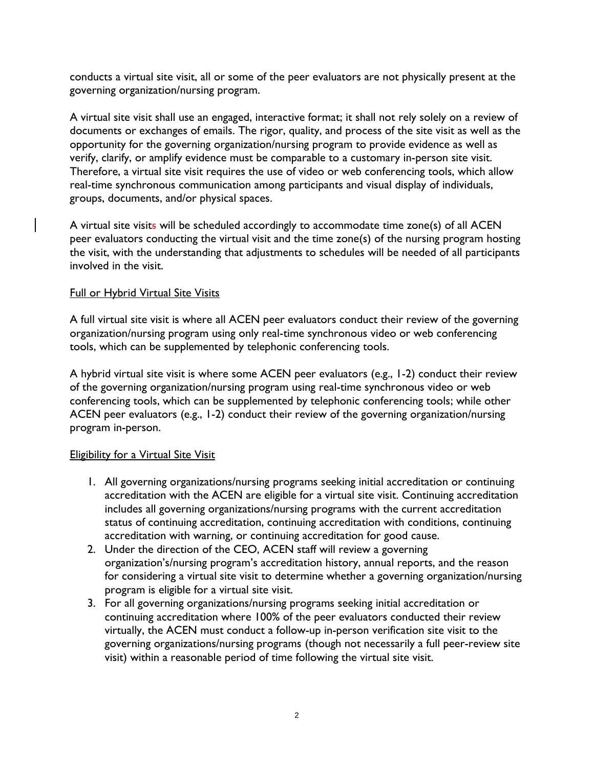conducts a virtual site visit, all or some of the peer evaluators are not physically present at the governing organization/nursing program.

A virtual site visit shall use an engaged, interactive format; it shall not rely solely on a review of documents or exchanges of emails. The rigor, quality, and process of the site visit as well as the opportunity for the governing organization/nursing program to provide evidence as well as verify, clarify, or amplify evidence must be comparable to a customary in-person site visit. Therefore, a virtual site visit requires the use of video or web conferencing tools, which allow real-time synchronous communication among participants and visual display of individuals, groups, documents, and/or physical spaces.

A virtual site visits will be scheduled accordingly to accommodate time zone(s) of all ACEN peer evaluators conducting the virtual visit and the time zone(s) of the nursing program hosting the visit, with the understanding that adjustments to schedules will be needed of all participants involved in the visit.

### Full or Hybrid Virtual Site Visits

A full virtual site visit is where all ACEN peer evaluators conduct their review of the governing organization/nursing program using only real-time synchronous video or web conferencing tools, which can be supplemented by telephonic conferencing tools.

A hybrid virtual site visit is where some ACEN peer evaluators (e.g., 1-2) conduct their review of the governing organization/nursing program using real-time synchronous video or web conferencing tools, which can be supplemented by telephonic conferencing tools; while other ACEN peer evaluators (e.g., 1-2) conduct their review of the governing organization/nursing program in-person.

#### Eligibility for a Virtual Site Visit

- 1. All governing organizations/nursing programs seeking initial accreditation or continuing accreditation with the ACEN are eligible for a virtual site visit. Continuing accreditation includes all governing organizations/nursing programs with the current accreditation status of continuing accreditation, continuing accreditation with conditions, continuing accreditation with warning, or continuing accreditation for good cause.
- 2. Under the direction of the CEO, ACEN staff will review a governing organization's/nursing program's accreditation history, annual reports, and the reason for considering a virtual site visit to determine whether a governing organization/nursing program is eligible for a virtual site visit.
- 3. For all governing organizations/nursing programs seeking initial accreditation or continuing accreditation where 100% of the peer evaluators conducted their review virtually, the ACEN must conduct a follow-up in-person verification site visit to the governing organizations/nursing programs (though not necessarily a full peer-review site visit) within a reasonable period of time following the virtual site visit.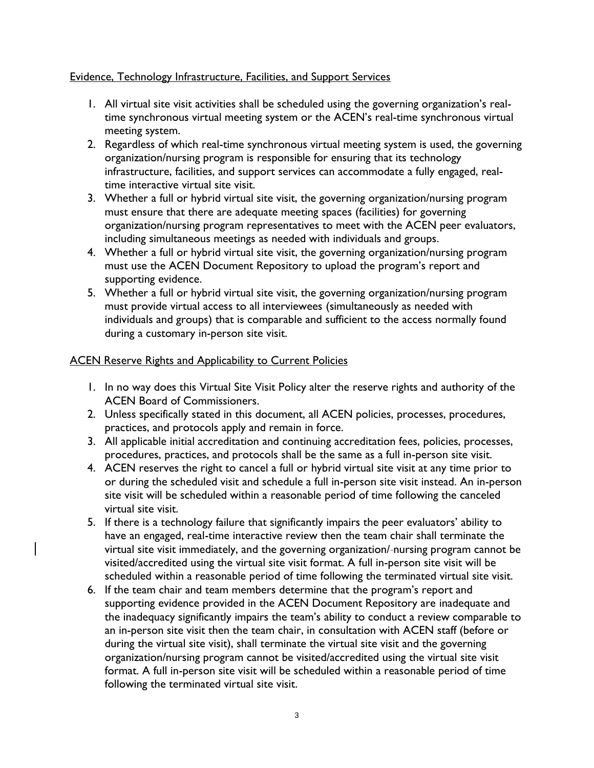### Evidence, Technology Infrastructure, Facilities, and Support Services

- 1. All virtual site visit activities shall be scheduled using the governing organization's realtime synchronous virtual meeting system or the ACEN's real-time synchronous virtual meeting system.
- 2. Regardless of which real-time synchronous virtual meeting system is used, the governing organization/nursing program is responsible for ensuring that its technology infrastructure, facilities, and support services can accommodate a fully engaged, realtime interactive virtual site visit.
- 3. Whether a full or hybrid virtual site visit, the governing organization/nursing program must ensure that there are adequate meeting spaces (facilities) for governing organization/nursing program representatives to meet with the ACEN peer evaluators, including simultaneous meetings as needed with individuals and groups.
- 4. Whether a full or hybrid virtual site visit, the governing organization/nursing program must use the ACEN Document Repository to upload the program's report and supporting evidence.
- 5. Whether a full or hybrid virtual site visit, the governing organization/nursing program must provide virtual access to all interviewees (simultaneously as needed with individuals and groups) that is comparable and sufficient to the access normally found during a customary in-person site visit.

# ACEN Reserve Rights and Applicability to Current Policies

- 1. In no way does this Virtual Site Visit Policy alter the reserve rights and authority of the ACEN Board of Commissioners.
- 2. Unless specifically stated in this document, all ACEN policies, processes, procedures, practices, and protocols apply and remain in force.
- 3. All applicable initial accreditation and continuing accreditation fees, policies, processes, procedures, practices, and protocols shall be the same as a full in-person site visit.
- 4. ACEN reserves the right to cancel a full or hybrid virtual site visit at any time prior to or during the scheduled visit and schedule a full in-person site visit instead. An in-person site visit will be scheduled within a reasonable period of time following the canceled virtual site visit.
- 5. If there is a technology failure that significantly impairs the peer evaluators' ability to have an engaged, real-time interactive review then the team chair shall terminate the virtual site visit immediately, and the governing organization/ nursing program cannot be visited/accredited using the virtual site visit format. A full in-person site visit will be scheduled within a reasonable period of time following the terminated virtual site visit.
- 6. If the team chair and team members determine that the program's report and supporting evidence provided in the ACEN Document Repository are inadequate and the inadequacy significantly impairs the team's ability to conduct a review comparable to an in-person site visit then the team chair, in consultation with ACEN staff (before or during the virtual site visit), shall terminate the virtual site visit and the governing organization/nursing program cannot be visited/accredited using the virtual site visit format. A full in-person site visit will be scheduled within a reasonable period of time following the terminated virtual site visit.